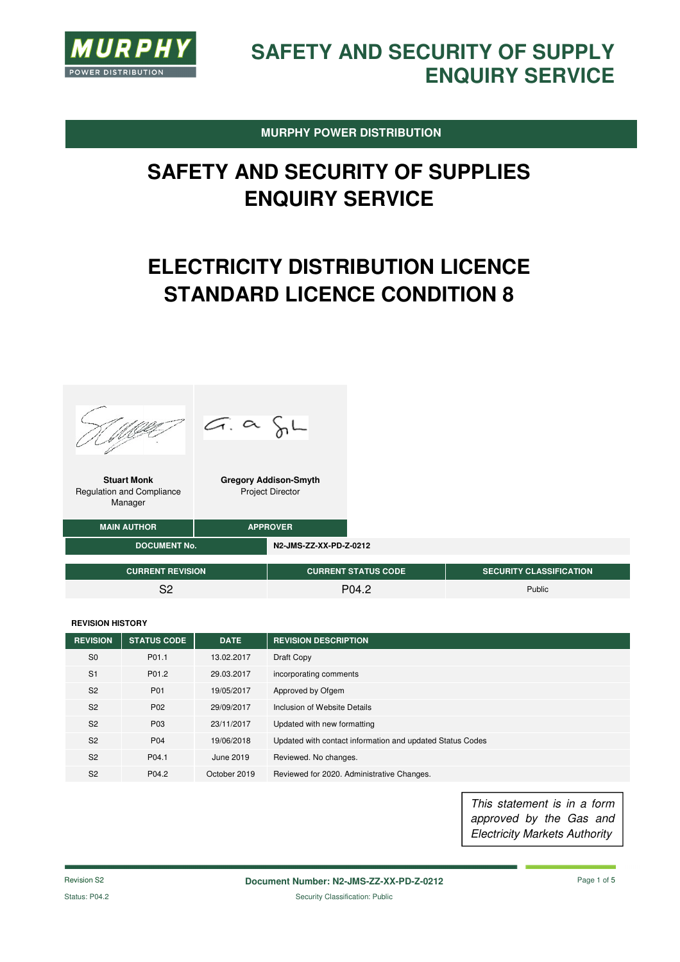

**MURPHY POWER DISTRIBUTION** 

# **SAFETY AND SECURITY OF SUPPLIES ENQUIRY SERVICE**

# **ELECTRICITY DISTRIBUTION LICENCE STANDARD LICENCE CONDITION 8**





**Stuart Monk**  Regulation and Compliance Manager

**Gregory Addison-Smyth**  Project Director

| <b>MAIN AUTHOR</b>      | <b>APPROVER</b> |                        |                            |                                |
|-------------------------|-----------------|------------------------|----------------------------|--------------------------------|
| <b>DOCUMENT No.</b>     |                 | N2-JMS-ZZ-XX-PD-Z-0212 |                            |                                |
| <b>CURRENT REVISION</b> |                 |                        | <b>CURRENT STATUS CODE</b> | <b>SECURITY CLASSIFICATION</b> |
| ດລ                      |                 |                        | P04 2                      | Public                         |

#### **REVISION HISTORY**

| <b>REVISION</b> | <b>STATUS CODE</b> | <b>DATE</b>  | <b>REVISION DESCRIPTION</b>                               |
|-----------------|--------------------|--------------|-----------------------------------------------------------|
| S <sub>0</sub>  | P01.1              | 13.02.2017   | Draft Copy                                                |
| S <sub>1</sub>  | P01.2              | 29.03.2017   | incorporating comments                                    |
| S <sub>2</sub>  | P01                | 19/05/2017   | Approved by Ofgem                                         |
| S <sub>2</sub>  | P <sub>02</sub>    | 29/09/2017   | Inclusion of Website Details                              |
| S <sub>2</sub>  | P03                | 23/11/2017   | Updated with new formatting                               |
| S <sub>2</sub>  | P04                | 19/06/2018   | Updated with contact information and updated Status Codes |
| S <sub>2</sub>  | P04.1              | June 2019    | Reviewed. No changes.                                     |
| S <sub>2</sub>  | P <sub>04.2</sub>  | October 2019 | Reviewed for 2020. Administrative Changes.                |

This statement is in a form approved by the Gas and Electricity Markets Authority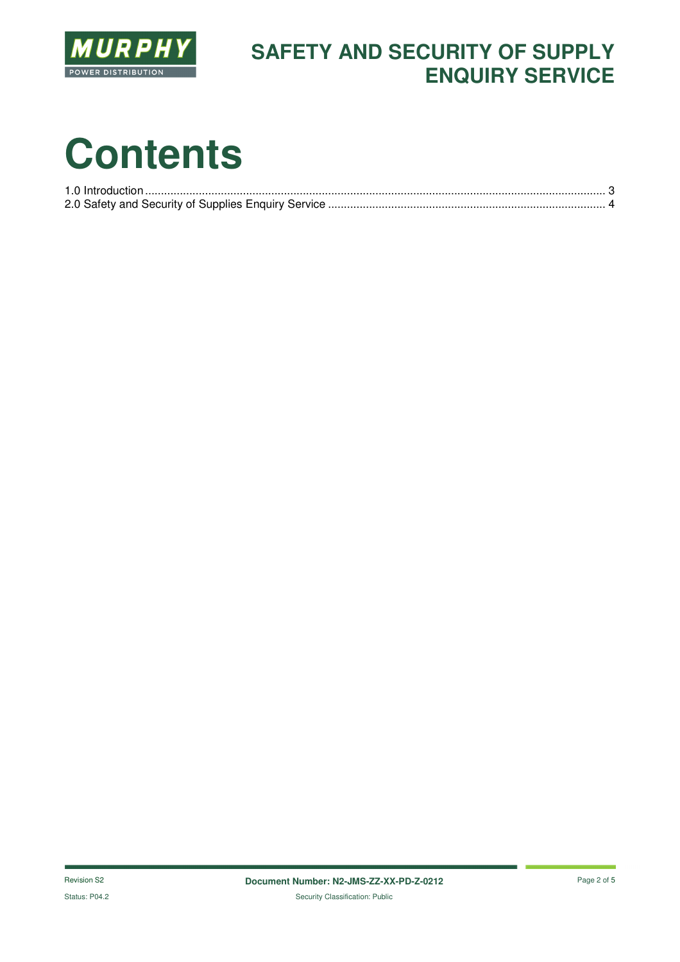

## **SAFETY AND SECURITY OF SUPPLY ENQUIRY SERVICE**

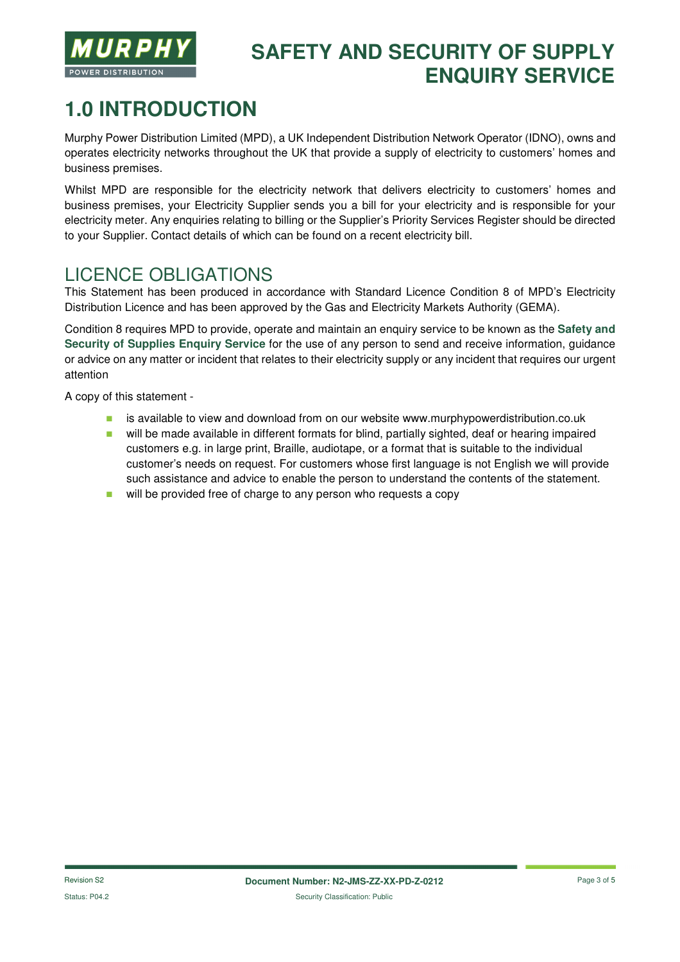

## **SAFETY AND SECURITY OF SUPPLY ENQUIRY SERVICE**

# **1.0 INTRODUCTION**

Murphy Power Distribution Limited (MPD), a UK Independent Distribution Network Operator (IDNO), owns and operates electricity networks throughout the UK that provide a supply of electricity to customers' homes and business premises.

Whilst MPD are responsible for the electricity network that delivers electricity to customers' homes and business premises, your Electricity Supplier sends you a bill for your electricity and is responsible for your electricity meter. Any enquiries relating to billing or the Supplier's Priority Services Register should be directed to your Supplier. Contact details of which can be found on a recent electricity bill.

## LICENCE OBLIGATIONS

This Statement has been produced in accordance with Standard Licence Condition 8 of MPD's Electricity Distribution Licence and has been approved by the Gas and Electricity Markets Authority (GEMA).

Condition 8 requires MPD to provide, operate and maintain an enquiry service to be known as the **Safety and Security of Supplies Enquiry Service** for the use of any person to send and receive information, guidance or advice on any matter or incident that relates to their electricity supply or any incident that requires our urgent attention

A copy of this statement -

- **EXECT** is available to view and download from on our website www.murphypowerdistribution.co.uk
- **u** will be made available in different formats for blind, partially sighted, deaf or hearing impaired customers e.g. in large print, Braille, audiotape, or a format that is suitable to the individual customer's needs on request. For customers whose first language is not English we will provide such assistance and advice to enable the person to understand the contents of the statement.
- will be provided free of charge to any person who requests a copy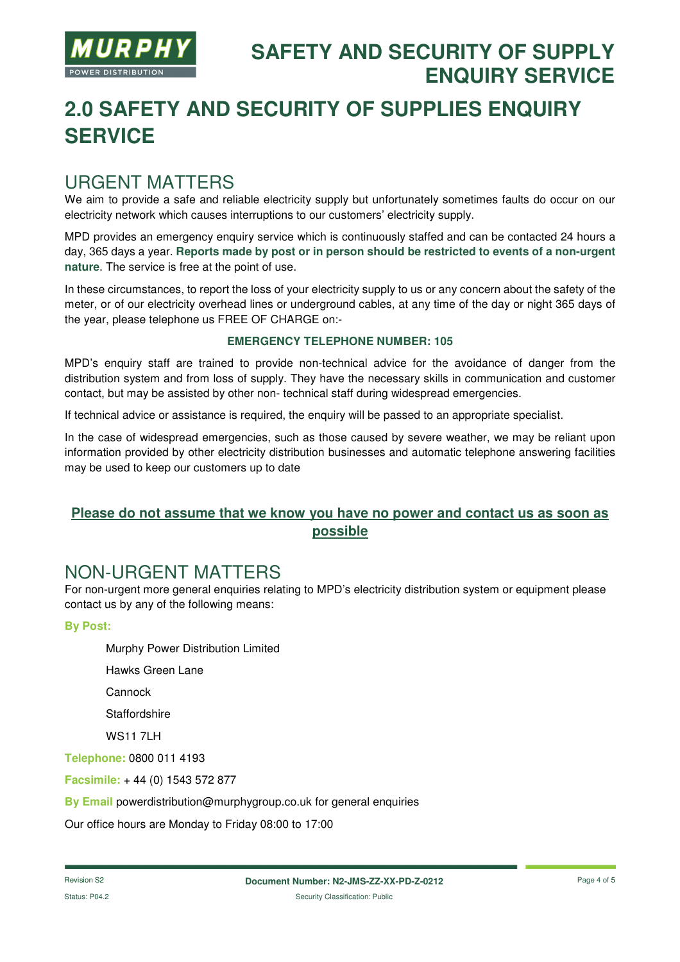

# **2.0 SAFETY AND SECURITY OF SUPPLIES ENQUIRY SERVICE**

### URGENT MATTERS

We aim to provide a safe and reliable electricity supply but unfortunately sometimes faults do occur on our electricity network which causes interruptions to our customers' electricity supply.

MPD provides an emergency enquiry service which is continuously staffed and can be contacted 24 hours a day, 365 days a year. **Reports made by post or in person should be restricted to events of a non-urgent nature**. The service is free at the point of use.

In these circumstances, to report the loss of your electricity supply to us or any concern about the safety of the meter, or of our electricity overhead lines or underground cables, at any time of the day or night 365 days of the year, please telephone us FREE OF CHARGE on:-

#### **EMERGENCY TELEPHONE NUMBER: 105**

MPD's enquiry staff are trained to provide non-technical advice for the avoidance of danger from the distribution system and from loss of supply. They have the necessary skills in communication and customer contact, but may be assisted by other non- technical staff during widespread emergencies.

If technical advice or assistance is required, the enquiry will be passed to an appropriate specialist.

In the case of widespread emergencies, such as those caused by severe weather, we may be reliant upon information provided by other electricity distribution businesses and automatic telephone answering facilities may be used to keep our customers up to date

### **Please do not assume that we know you have no power and contact us as soon as possible**

### NON-URGENT MATTERS

For non-urgent more general enquiries relating to MPD's electricity distribution system or equipment please contact us by any of the following means:

#### **By Post:**

Murphy Power Distribution Limited

Hawks Green Lane

**Cannock** 

**Staffordshire** 

**WS11 7LH** 

**Telephone:** 0800 011 4193

**Facsimile:** + 44 (0) 1543 572 877

**By Email** powerdistribution@murphygroup.co.uk for general enquiries

Our office hours are Monday to Friday 08:00 to 17:00